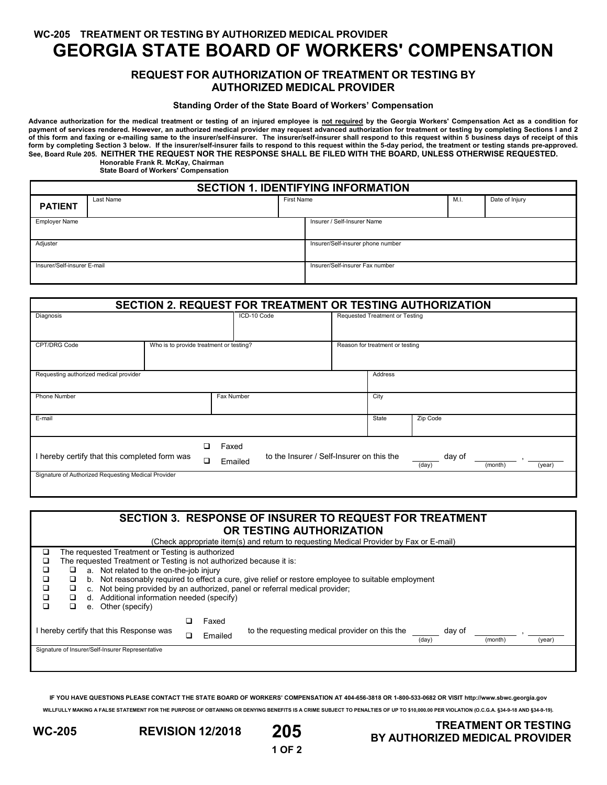**WC-205 TREATMENT OR TESTING BY AUTHORIZED MEDICAL PROVIDER**

# **GEORGIA STATE BOARD OF WORKERS' COMPENSATION**

### **REQUEST FOR AUTHORIZATION OF TREATMENT OR TESTING BY AUTHORIZED MEDICAL PROVIDER**

#### **Standing Order of the State Board of Workers' Compensation**

**Advance authorization for the medical treatment or testing of an injured employee is not required by the Georgia Workers' Compensation Act as a condition for payment of services rendered. However, an authorized medical provider may request advanced authorization for treatment or testing by completing Sections I and 2 of this form and faxing or e-mailing same to the insurer/self-insurer. The insurer/self-insurer shall respond to this request within 5 business days of receipt of this**  form by completing Section 3 below. If the insurer/self-insurer fails to respond to this request within the 5-day period, the treatment or testing stands pre-approved. **See, Board Rule 205. NEITHER THE REQUEST NOR THE RESPONSE SHALL BE FILED WITH THE BOARD, UNLESS OTHERWISE REQUESTED. Honorable Frank R. McKay, Chairman**

**State Board of Workers' Compensation**

| <b>SECTION 1. IDENTIFYING INFORMATION</b> |           |            |                                   |      |                |  |  |  |  |
|-------------------------------------------|-----------|------------|-----------------------------------|------|----------------|--|--|--|--|
| <b>PATIENT</b>                            | Last Name | First Name |                                   | M.I. | Date of Injury |  |  |  |  |
| <b>Employer Name</b>                      |           |            | Insurer / Self-Insurer Name       |      |                |  |  |  |  |
| Adjuster                                  |           |            | Insurer/Self-insurer phone number |      |                |  |  |  |  |
| Insurer/Self-insurer E-mail               |           |            | Insurer/Self-insurer Fax number   |      |                |  |  |  |  |

| SECTION 2. REQUEST FOR TREATMENT OR TESTING AUTHORIZATION    |  |  |                                                               |  |                                 |                                      |  |
|--------------------------------------------------------------|--|--|---------------------------------------------------------------|--|---------------------------------|--------------------------------------|--|
| Diagnosis                                                    |  |  | ICD-10 Code                                                   |  | Requested Treatment or Testing  |                                      |  |
| CPT/DRG Code<br>Who is to provide treatment or testing?      |  |  |                                                               |  | Reason for treatment or testing |                                      |  |
| Requesting authorized medical provider                       |  |  |                                                               |  | Address                         |                                      |  |
| Phone Number                                                 |  |  | Fax Number                                                    |  | City                            |                                      |  |
| E-mail                                                       |  |  |                                                               |  | State                           | Zip Code                             |  |
| n<br>I hereby certify that this completed form was<br>$\Box$ |  |  | Faxed<br>to the Insurer / Self-Insurer on this the<br>Emailed |  |                                 | day of<br>(month)<br>(year)<br>(day) |  |
| Signature of Authorized Requesting Medical Provider          |  |  |                                                               |  |                                 |                                      |  |

| <b>SECTION 3. RESPONSE OF INSURER TO REQUEST FOR TREATMENT</b><br>OR TESTING AUTHORIZATION<br>(Check appropriate item(s) and return to requesting Medical Provider by Fax or E-mail) |                                                                                                                                                                                                                                                                                                                                                                                                                                                                   |  |  |  |  |  |  |  |
|--------------------------------------------------------------------------------------------------------------------------------------------------------------------------------------|-------------------------------------------------------------------------------------------------------------------------------------------------------------------------------------------------------------------------------------------------------------------------------------------------------------------------------------------------------------------------------------------------------------------------------------------------------------------|--|--|--|--|--|--|--|
| □<br>❏<br>◻<br>◻                                                                                                                                                                     | The requested Treatment or Testing is authorized<br>The requested Treatment or Testing is not authorized because it is:<br>a. Not related to the on-the-job injury<br>o<br>Not reasonably required to effect a cure, give relief or restore employee to suitable employment<br>❏<br>b.<br>Not being provided by an authorized, panel or referral medical provider;<br>o<br>C.<br>Additional information needed (specify)<br>◻<br>d.<br>Other (specify)<br>□<br>e. |  |  |  |  |  |  |  |
|                                                                                                                                                                                      | Faxed<br>I hereby certify that this Response was<br>to the requesting medical provider on this the<br>day of<br>Emailed<br>(month)<br>(day)<br>(year)<br>Signature of Insurer/Self-Insurer Representative                                                                                                                                                                                                                                                         |  |  |  |  |  |  |  |

**IF YOU HAVE QUESTIONS PLEASE CONTACT THE STATE BOARD OF WORKERS' COMPENSATION AT 404-656-3818 OR 1-800-533-0682 OR VISIT http://www.sbwc.georgia.gov WILLFULLY MAKING A FALSE STATEMENT FOR THE PURPOSE OF OBTAINING OR DENYING BENEFITS IS A CRIME SUBJECT TO PENALTIES OF UP TO \$10,000.00 PER VIOLATION (O.C.G.A. §34-9-18 AND §34-9-19).**



# **WC-205 REVISION 12/2018 205 TREATMENT OR TESTING BY AUTHORIZED MEDICAL PROVIDER**